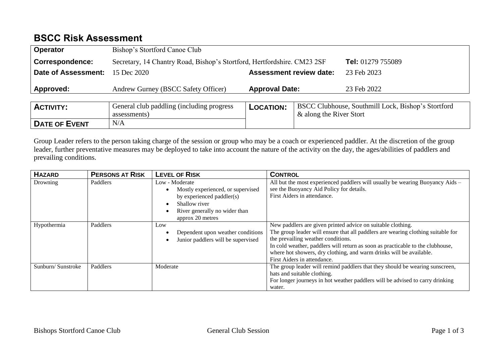## **BSCC Risk Assessment**

| <b>Operator</b>            | Bishop's Stortford Canoe Club                                                                |                                |                         |                                                    |  |
|----------------------------|----------------------------------------------------------------------------------------------|--------------------------------|-------------------------|----------------------------------------------------|--|
| <b>Correspondence:</b>     | Secretary, 14 Chantry Road, Bishop's Stortford, Hertfordshire. CM23 2SF<br>Tel: 01279 755089 |                                |                         |                                                    |  |
| <b>Date of Assessment:</b> | 15 Dec 2020                                                                                  | <b>Assessment review date:</b> |                         | 23 Feb 2023                                        |  |
| Approved:                  | Andrew Gurney (BSCC Safety Officer)                                                          | <b>Approval Date:</b>          |                         | 23 Feb 2022                                        |  |
|                            |                                                                                              |                                |                         |                                                    |  |
| <b>ACTIVITY:</b>           | General club paddling (including progress)                                                   | <b>LOCATION:</b>               |                         | BSCC Clubhouse, Southmill Lock, Bishop's Stortford |  |
|                            | assessments)                                                                                 |                                | & along the River Stort |                                                    |  |
| <b>DATE OF EVENT</b>       | N/A                                                                                          |                                |                         |                                                    |  |

Group Leader refers to the person taking charge of the session or group who may be a coach or experienced paddler. At the discretion of the group leader, further preventative measures may be deployed to take into account the nature of the activity on the day, the ages/abilities of paddlers and prevailing conditions.

| <b>HAZARD</b>     | <b>PERSONS AT RISK</b> | <b>LEVEL OF RISK</b>                                                                                                                                                | <b>CONTROL</b>                                                                                                                                                                                                                                                                                                                                                                |
|-------------------|------------------------|---------------------------------------------------------------------------------------------------------------------------------------------------------------------|-------------------------------------------------------------------------------------------------------------------------------------------------------------------------------------------------------------------------------------------------------------------------------------------------------------------------------------------------------------------------------|
| Drowning          | Paddlers               | Low - Moderate<br>Mostly experienced, or supervised<br>by experienced paddler(s)<br>Shallow river<br>$\bullet$<br>River generally no wider than<br>approx 20 metres | All but the most experienced paddlers will usually be wearing Buoyancy Aids –<br>see the Buoyancy Aid Policy for details.<br>First Aiders in attendance.                                                                                                                                                                                                                      |
| Hypothermia       | Paddlers               | Low<br>Dependent upon weather conditions<br>Junior paddlers will be supervised                                                                                      | New paddlers are given printed advice on suitable clothing.<br>The group leader will ensure that all paddlers are wearing clothing suitable for<br>the prevailing weather conditions.<br>In cold weather, paddlers will return as soon as practicable to the clubhouse,<br>where hot showers, dry clothing, and warm drinks will be available.<br>First Aiders in attendance. |
| Sunburn/Sunstroke | Paddlers               | Moderate                                                                                                                                                            | The group leader will remind paddlers that they should be wearing sunscreen,<br>hats and suitable clothing.<br>For longer journeys in hot weather paddlers will be advised to carry drinking<br>water.                                                                                                                                                                        |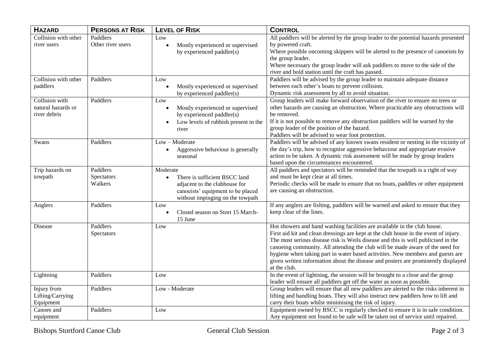| <b>HAZARD</b>                                        | <b>PERSONS AT RISK</b>            | <b>LEVEL OF RISK</b>                                                                                                                                             | <b>CONTROL</b>                                                                                                                                                                                                                                                                                                                                                                                                                                                                                                                |
|------------------------------------------------------|-----------------------------------|------------------------------------------------------------------------------------------------------------------------------------------------------------------|-------------------------------------------------------------------------------------------------------------------------------------------------------------------------------------------------------------------------------------------------------------------------------------------------------------------------------------------------------------------------------------------------------------------------------------------------------------------------------------------------------------------------------|
| Collision with other<br>river users                  | Paddlers<br>Other river users     | Low<br>Mostly experienced or supervised<br>$\bullet$<br>by experienced paddler(s)                                                                                | All paddlers will be alerted by the group leader to the potential hazards presented<br>by powered craft.<br>Where possible oncoming skippers will be alerted to the presence of canoeists by<br>the group leader.<br>Where necessary the group leader will ask paddlers to move to the side of the<br>river and hold station until the craft has passed.                                                                                                                                                                      |
| Collision with other<br>paddlers                     | Paddlers                          | Low<br>Mostly experienced or supervised<br>$\bullet$<br>by experienced paddler(s)                                                                                | Paddlers will be advised by the group leader to maintain adequate distance<br>between each other's boats to prevent collision.<br>Dynamic risk assessment by all to avoid situation.                                                                                                                                                                                                                                                                                                                                          |
| Collision with<br>natural hazards or<br>river debris | Paddlers                          | Low<br>Mostly experienced or supervised<br>$\bullet$<br>by experienced paddler(s)<br>Low levels of rubbish present in the<br>river                               | Group leaders will make forward observation of the river to ensure no trees or<br>other hazards are causing an obstruction. Where practicable any obstructions will<br>be removed.<br>If it is not possible to remove any obstruction paddlers will be warned by the<br>group leader of the position of the hazard.<br>Paddlers will be advised to wear foot protection.                                                                                                                                                      |
| Swans                                                | Paddlers                          | Low - Moderate<br>Aggressive behaviour is generally<br>$\bullet$<br>seasonal                                                                                     | Paddlers will be advised of any known swans resident or nesting in the vicinity of<br>the day's trip, how to recognise aggressive behaviour and appropriate evasive<br>action to be taken. A dynamic risk assessment will be made by group leaders<br>based upon the circumstances encountered.                                                                                                                                                                                                                               |
| Trip hazards on<br>towpath                           | Paddlers<br>Spectators<br>Walkers | Moderate<br>There is sufficient BSCC land<br>$\bullet$<br>adjacent to the clubhouse for<br>canoeists' equipment to be placed<br>without impinging on the towpath | All paddlers and spectators will be reminded that the towpath is a right of way<br>and must be kept clear at all times.<br>Periodic checks will be made to ensure that no boats, paddles or other equipment<br>are causing an obstruction.                                                                                                                                                                                                                                                                                    |
| Anglers                                              | Paddlers                          | Low<br>Closed season on Stort 15 March-<br>15 June                                                                                                               | If any anglers are fishing, paddlers will be warned and asked to ensure that they<br>keep clear of the lines.                                                                                                                                                                                                                                                                                                                                                                                                                 |
| Disease                                              | Paddlers<br>Spectators            | Low                                                                                                                                                              | Hot showers and hand washing facilities are available in the club house.<br>First aid kit and clean dressings are kept at the club house in the event of injury.<br>The most serious disease risk is Weils disease and this is well publicised in the<br>canoeing community. All attending the club will be made aware of the need for<br>hygiene when taking part in water based activities. New members and guests are<br>given written information about the disease and posters are prominently displayed<br>at the club. |
| Lightning                                            | Paddlers                          | Low                                                                                                                                                              | In the event of lightning, the session will be brought to a close and the group<br>leader will ensure all paddlers get off the water as soon as possible.                                                                                                                                                                                                                                                                                                                                                                     |
| Injury from<br>Lifting/Carrying<br>Equipment         | Paddlers                          | Low - Moderate                                                                                                                                                   | Group leaders will ensure that all new paddlers are alerted to the risks inherent in<br>lifting and handling boats. They will also instruct new paddlers how to lift and<br>carry their boats whilst minimising the risk of injury.                                                                                                                                                                                                                                                                                           |
| Canoes and<br>equipment                              | Paddlers                          | Low                                                                                                                                                              | Equipment owned by BSCC is regularly checked to ensure it is in safe condition.<br>Any equipment not found to be safe will be taken out of service until repaired.                                                                                                                                                                                                                                                                                                                                                            |